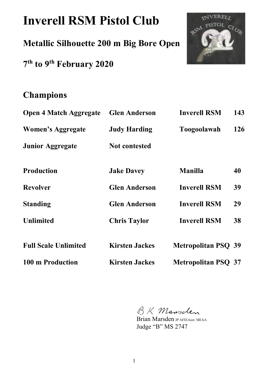# **Inverell RSM Pistol Club**

**Metallic Silhouette 200 m Big Bore Open** 

**7 th to 9th February 2020** 



# **Champions**

| <b>Open 4 Match Aggregate</b> | <b>Glen Anderson</b>  | <b>Inverell RSM</b>        | 143 |
|-------------------------------|-----------------------|----------------------------|-----|
| <b>Women's Aggregate</b>      | <b>Judy Harding</b>   | Toogoolawah                | 126 |
| <b>Junior Aggregate</b>       | <b>Not contested</b>  |                            |     |
| <b>Production</b>             | <b>Jake Davey</b>     | <b>Manilla</b>             | 40  |
| <b>Revolver</b>               | <b>Glen Anderson</b>  | <b>Inverell RSM</b>        | 39  |
| <b>Standing</b>               | <b>Glen Anderson</b>  | <b>Inverell RSM</b>        | 29  |
| <b>Unlimited</b>              | <b>Chris Taylor</b>   | <b>Inverell RSM</b>        | 38  |
| <b>Full Scale Unlimited</b>   | <b>Kirsten Jackes</b> | <b>Metropolitan PSQ 39</b> |     |
| 100 m Production              | <b>Kirsten Jackes</b> | <b>Metropolitan PSQ 37</b> |     |

BK Mansclen

Brian Marsden JP AFIEAust. MEAA Judge "B" MS 2747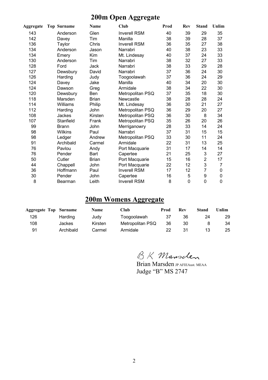## **200m Open Aggregate**

| <b>Aggregate</b> | <b>Top Surname</b> | Name         | <b>Club</b>         | Prod | Rev | <b>Stand</b>   | Unlim |
|------------------|--------------------|--------------|---------------------|------|-----|----------------|-------|
| 143              | Anderson           | Glen         | <b>Inverell RSM</b> | 40   | 39  | 29             | 35    |
| 142              | Davey              | Tim          | Manilla             | 38   | 39  | 28             | 37    |
| 136              | Taylor             | Chris        | <b>Inverell RSM</b> | 36   | 35  | 27             | 38    |
| 134              | Anderson           | Jason        | Narrabri            | 40   | 38  | 23             | 33    |
| 134              | Emery              | Kim          | Mt. Lindesay        | 40   | 37  | 24             | 33    |
| 130              | Anderson           | Tim          | Narrabri            | 38   | 32  | 27             | 33    |
| 128              | Ford               | Jack         | Narrabri            | 38   | 33  | 29             | 28    |
| 127              | Dewsbury           | David        | Narrabri            | 37   | 36  | 24             | 30    |
| 126              | Harding            | Judy         | Toogoolawah         | 37   | 36  | 24             | 29    |
| 124              | Davey              | Jake         | Manilla             | 40   | 34  | 20             | 30    |
| 124              | Dawson             | Greg         | Armidale            | 38   | 34  | 22             | 30    |
| 120              | Dewsbury           | Ben          | Metropolitan PSQ    | 37   | 35  | 18             | 30    |
| 118              | Marsden            | <b>Brian</b> | Newcastle           | 38   | 28  | 28             | 24    |
| 114              | Williams           | Philip       | Mt. Lindesay        | 36   | 30  | 21             | 27    |
| 112              | Harding            | John         | Metropolitan PSQ    | 36   | 29  | 20             | 27    |
| 108              | Jackes             | Kirsten      | Metropolitan PSQ    | 36   | 30  | 8              | 34    |
| 107              | Stanfield          | Frank        | Metropolitan PSQ    | 35   | 26  | 20             | 26    |
| 99               | <b>Brann</b>       | John         | Merriganowry        | 28   | 33  | 14             | 24    |
| 98               | Wilkins            | Paul         | Narrabri            | 37   | 31  | 15             | 15    |
| 98               | Ledger             | Andrew       | Metropolitan PSQ    | 33   | 30  | 11             | 24    |
| 91               | Archibald          | Carmel       | Armidale            | 22   | 31  | 13             | 25    |
| 76               | Pavlou             | Andy         | Port Macquarie      | 31   | 17  | 14             | 14    |
| 76               | Pender             | Bart         | Capertee            | 21   | 25  | 3              | 27    |
| 50               | Cutler             | <b>Brian</b> | Port Macquarie      | 15   | 16  | $\overline{2}$ | 17    |
| 44               | Chappell           | John         | Port Macquarie      | 22   | 12  | 3              | 7     |
| 36               | Hoffmann           | Paul         | <b>Inverell RSM</b> | 17   | 12  | 7              | 0     |
| 30               | Pender             | John         | Capertee            | 16   | 5   | 9              | 0     |
| 8                | <b>Bearman</b>     | Leith        | <b>Inverell RSM</b> | 8    | 0   | 0              | 0     |

## **200m Womens Aggregate**

| <b>Aggregate Top Surname</b> |               | <b>Name</b> | Club             | Prod | Rev | Stand | Unlim |
|------------------------------|---------------|-------------|------------------|------|-----|-------|-------|
| 126                          | Harding       | Judy        | Toogoolawah      | 37   | 36  | 24    | 29    |
| 108                          | <b>Jackes</b> | Kirsten     | Metropolitan PSQ | 36   | 30  |       | 34    |
| 91                           | Archibald     | Carmel      | Armidale         | 22   | 31  |       | 25    |

BK Mansclen

Brian Marsden JP AFIEAust. MEAA Judge "B" MS 2747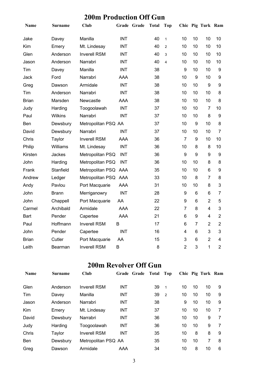### **200m Production Off Gun**

| Name         | Surname        | <b>Club</b>          |            | Grade Grade | <b>Total</b> | <b>Top</b>     |                |                | Chic Pig Turk Ram |                         |
|--------------|----------------|----------------------|------------|-------------|--------------|----------------|----------------|----------------|-------------------|-------------------------|
| Jake         | Davey          | Manilla              | <b>INT</b> |             | 40           | $\mathbf{1}$   | 10             | 10             | 10                | 10                      |
| Kim          | Emery          | Mt. Lindesay         | <b>INT</b> |             | 40           | $\overline{2}$ | 10             | 10             | 10                | 10 <sup>1</sup>         |
| Glen         | Anderson       | <b>Inverell RSM</b>  | <b>INT</b> |             | 40           | 3              | 10             | 10             | 10                | 10                      |
| Jason        | Anderson       | Narrabri             | <b>INT</b> |             | 40           | $\overline{4}$ | 10             | 10             | 10                | 10                      |
| Tim          | Davey          | Manilla              | <b>INT</b> |             | 38           |                | 9              | 10             | 10                | 9                       |
| Jack         | Ford           | Narrabri             | <b>AAA</b> |             | 38           |                | 10             | 9              | 10                | 9                       |
| Greg         | Dawson         | Armidale             | <b>INT</b> |             | 38           |                | 10             | 10             | 9                 | 9                       |
| Tim          | Anderson       | Narrabri             | <b>INT</b> |             | 38           |                | 10             | 10             | 10                | 8                       |
| <b>Brian</b> | Marsden        | Newcastle            | AAA        |             | 38           |                | 10             | 10             | 10                | 8                       |
| Judy         | Harding        | Toogoolawah          | <b>INT</b> |             | 37           |                | 10             | 10             | 7                 | 10                      |
| Paul         | <b>Wilkins</b> | Narrabri             | <b>INT</b> |             | 37           |                | 10             | 10             | 8                 | 9                       |
| Ben          | Dewsbury       | Metropolitan PSQ AA  |            |             | 37           |                | 10             | 9              | 10                | 8                       |
| David        | Dewsbury       | Narrabri             | <b>INT</b> |             | 37           |                | 10             | 10             | 10                | 7                       |
| Chris        | Taylor         | <b>Inverell RSM</b>  | <b>AAA</b> |             | 36           |                | $\overline{7}$ | 9              | 10                | 10 <sup>1</sup>         |
| Philip       | Williams       | Mt. Lindesay         | <b>INT</b> |             | 36           |                | 10             | 8              | 8                 | 10 <sup>1</sup>         |
| Kirsten      | Jackes         | Metropolitan PSQ     | <b>INT</b> |             | 36           |                | 9              | 9              | 9                 | 9                       |
| John         | Harding        | Metropolitan PSQ     | <b>INT</b> |             | 36           |                | 10             | 10             | 8                 | 8                       |
| Frank        | Stanfield      | Metropolitan PSQ AAA |            |             | 35           |                | 10             | 10             | 6                 | 9                       |
| Andrew       | Ledger         | Metropolitan PSQ AAA |            |             | 33           |                | 10             | 8              | 7                 | 8                       |
| Andy         | Pavlou         | Port Macquarie       | <b>AAA</b> |             | 31           |                | 10             | 10             | 8                 | 3                       |
| John         | <b>Brann</b>   | Merriganowry         | <b>INT</b> |             | 28           |                | 9              | 6              | 6                 | 7                       |
| John         | Chappell       | Port Macquarie       | AA         |             | 22           |                | 9              | 6              | $\overline{2}$    | 5                       |
| Carmel       | Archibald      | Armidale             | <b>AAA</b> |             | 22           |                | $\overline{7}$ | 8              | $\overline{4}$    | 3                       |
| <b>Bart</b>  | Pender         | Capertee             | <b>AAA</b> |             | 21           |                | 6              | 9              | $\overline{4}$    | $\overline{2}$          |
| Paul         | Hoffmann       | <b>Inverell RSM</b>  | B          |             | 17           |                | 6              | $\overline{7}$ | $\overline{2}$    | $\overline{2}$          |
| John         | Pender         | Capertee             | <b>INT</b> |             | 16           |                | 4              | 6              | 3                 | 3                       |
| <b>Brian</b> | Cutler         | Port Macquarie       | AA         |             | 15           |                | 3              | 6              | $\overline{2}$    | $\overline{\mathbf{4}}$ |
| Leith        | Bearman        | <b>Inverell RSM</b>  | B          |             | 8            |                | $\overline{2}$ | 3              | 1                 | $\overline{2}$          |

#### **200m Revolver Off Gun**

| <b>Name</b> | <b>Surname</b> | Club                | Grade Grade | Total | Top          |    |    | Chic Pig Turk Ram |   |
|-------------|----------------|---------------------|-------------|-------|--------------|----|----|-------------------|---|
| Glen        | Anderson       | <b>Inverell RSM</b> | <b>INT</b>  | 39    | $\mathbf{1}$ | 10 | 10 | 10                | 9 |
| Tim         | Davey          | Manilla             | <b>INT</b>  | 39    | 2            | 10 | 10 | 10                | 9 |
| Jason       | Anderson       | Narrabri            | INT         | 38    |              | 9  | 10 | 10                | 9 |
| <b>Kim</b>  | Emery          | Mt. Lindesay        | INT         | 37    |              | 10 | 10 | 10                | 7 |
| David       | Dewsbury       | Narrabri            | <b>INT</b>  | 36    |              | 10 | 10 | 9                 |   |
| Judy        | Harding        | Toogoolawah         | INT         | 36    |              | 10 | 10 | 9                 |   |
| Chris       | Taylor         | <b>Inverell RSM</b> | <b>INT</b>  | 35    |              | 10 | 8  | 8                 | 9 |
| <b>Ben</b>  | Dewsbury       | Metropolitan PSQ AA |             | 35    |              | 10 | 10 | 7                 | 8 |
| Greg        | Dawson         | Armidale            | AAA         | 34    |              | 10 | 8  | 10                | 6 |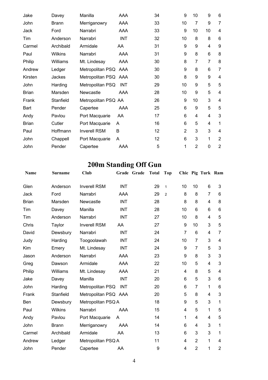| Jake         | Davey          | Manilla              | AAA        | 34 | 9              | 10             | 9              | 6              |
|--------------|----------------|----------------------|------------|----|----------------|----------------|----------------|----------------|
| John         | <b>Brann</b>   | Merriganowry         | AAA        | 33 | 10             | 7              | 9              | 7              |
| Jack         | Ford           | Narrabri             | AAA        | 33 | 9              | 10             | 10             | 4              |
| Tim          | Anderson       | Narrabri             | <b>INT</b> | 32 | 10             | 8              | 8              | 6              |
| Carmel       | Archibald      | Armidale             | AA         | 31 | 9              | 9              | 4              | 9              |
| Paul         | <b>Wilkins</b> | Narrabri             | AAA        | 31 | 9              | 8              | 6              | 8              |
| Philip       | Williams       | Mt. Lindesay         | AAA        | 30 | 8              | 7              | $\overline{7}$ | 8              |
| Andrew       | Ledger         | Metropolitan PSQ AAA |            | 30 | 9              | 8              | 6              | 7              |
| Kirsten      | Jackes         | Metropolitan PSQ AAA |            | 30 | 8              | 9              | 9              | 4              |
| John         | Harding        | Metropolitan PSQ     | <b>INT</b> | 29 | 10             | 9              | 5              | 5              |
| <b>Brian</b> | Marsden        | Newcastle            | AAA        | 28 | 10             | 9              | 5              | 4              |
| Frank        | Stanfield      | Metropolitan PSQ AA  |            | 26 | 9              | 10             | 3              | 4              |
| Bart         | Pender         | Capertee             | AAA        | 25 | 6              | 9              | 5              | 5              |
| Andy         | Pavlou         | Port Macquarie       | AA         | 17 | 6              | 4              | 4              | 3              |
| <b>Brian</b> | Cutler         | Port Macquarie       | A          | 16 | 6              | 5              | 4              | 1              |
| Paul         | Hoffmann       | <b>Inverell RSM</b>  | B          | 12 | $\overline{2}$ | 3              | 3              | 4              |
| John         | Chappell       | Port Macquarie       | A          | 12 | 6              | 3              | 1              | $\overline{2}$ |
| John         | Pender         | Capertee             | AAA        | 5  | 1              | $\overline{2}$ | 0              | $\overline{2}$ |

# **200m Standing Off Gun**

| Name         | <b>Surname</b> | <b>Club</b>          |            | Grade Grade | <b>Total</b> | <b>Top</b>     |                |                 | Chic Pig Turk Ram       |                         |
|--------------|----------------|----------------------|------------|-------------|--------------|----------------|----------------|-----------------|-------------------------|-------------------------|
| Glen         | Anderson       | <b>Inverell RSM</b>  | <b>INT</b> |             | 29           | $\mathbf{1}$   | 10             | 10              | 6                       | 3                       |
| Jack         | Ford           | Narrabri             | AAA        |             | 29           | $\overline{2}$ | 8              | 8               | $\overline{7}$          | 6                       |
| <b>Brian</b> | Marsden        | Newcastle            | <b>INT</b> |             | 28           |                | 8              | 8               | 4                       | 8                       |
| Tim          | Davey          | Manilla              | <b>INT</b> |             | 28           |                | 10             | 6               | 6                       | 6                       |
| Tim          | Anderson       | Narrabri             | <b>INT</b> |             | 27           |                | 10             | 8               | 4                       | 5                       |
| Chris        | Taylor         | <b>Inverell RSM</b>  | AA         |             | 27           |                | 9              | 10              | 3                       | 5                       |
| David        | Dewsbury       | Narrabri             | <b>INT</b> |             | 24           |                | $\overline{7}$ | $6\phantom{1}6$ | $\overline{\mathbf{4}}$ | 7                       |
| Judy         | Harding        | Toogoolawah          | <b>INT</b> |             | 24           |                | 10             | $\overline{7}$  | 3                       | $\overline{\mathbf{4}}$ |
| Kim          | Emery          | Mt. Lindesay         | <b>INT</b> |             | 24           |                | 9              | $\overline{7}$  | 5                       | 3                       |
| Jason        | Anderson       | Narrabri             | AAA        |             | 23           |                | 9              | 8               | 3                       | 3                       |
| Greg         | Dawson         | Armidale             | AAA        |             | 22           |                | 10             | 5               | $\overline{\mathbf{4}}$ | 3                       |
| Philip       | Williams       | Mt. Lindesay         | AAA        |             | 21           |                | 4              | 8               | 5                       | $\overline{\mathbf{4}}$ |
| Jake         | Davey          | Manilla              | <b>INT</b> |             | 20           |                | 6              | 5               | 3                       | 6                       |
| John         | Harding        | Metropolitan PSQ     | <b>INT</b> |             | 20           |                | 6              | $\overline{7}$  | 1                       | 6                       |
| Frank        | Stanfield      | Metropolitan PSQ AAA |            |             | 20           |                | 5              | 8               | 4                       | 3                       |
| Ben          | Dewsbury       | Metropolitan PSQ A   |            |             | 18           |                | 9              | 5               | 3                       | 1                       |
| Paul         | <b>Wilkins</b> | Narrabri             | AAA        |             | 15           |                | 4              | 5               | 1                       | 5                       |
| Andy         | Pavlou         | Port Macquarie       | A          |             | 14           |                | 1              | $\overline{4}$  | 4                       | 5                       |
| John         | <b>Brann</b>   | Merriganowry         | AAA        |             | 14           |                | 6              | $\overline{4}$  | 3                       | 1                       |
| Carmel       | Archibald      | Armidale             | AA         |             | 13           |                | 6              | 3               | 3                       | 1                       |
| Andrew       | Ledger         | Metropolitan PSQ A   |            |             | 11           |                | 4              | $\overline{2}$  | 1                       | 4                       |
| John         | Pender         | Capertee             | AA         |             | 9            |                | 4              | $\overline{2}$  | 1                       | $\overline{2}$          |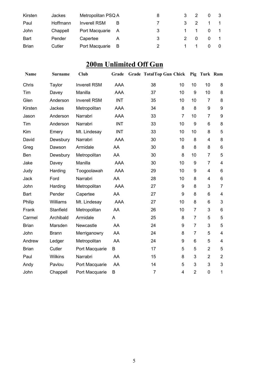| Kirsten      | Jackes   | Metropolitan PSQ A  |   | 8 | 3             |                |          |  |
|--------------|----------|---------------------|---|---|---------------|----------------|----------|--|
| Paul         | Hoffmann | <b>Inverell RSM</b> | B |   | $\mathbf{3}$  | $\overline{2}$ |          |  |
| John         | Chappell | Port Macquarie      | A | 3 |               | $1 \quad 1$    | $\Omega$ |  |
| <b>Bart</b>  | Pender   | Capertee            |   | 3 | $\mathcal{P}$ | - 0            | $\Omega$ |  |
| <b>Brian</b> | Cutler   | Port Macquarie      | B |   |               |                |          |  |

# **200m Unlimited Off Gun**

| Name         | <b>Surname</b> | <b>Club</b>         | Grade      | <b>Grade TotalTop Gun Chick</b> |                |                | Pig Turk Ram     |                         |
|--------------|----------------|---------------------|------------|---------------------------------|----------------|----------------|------------------|-------------------------|
| Chris        | Taylor         | <b>Inverell RSM</b> | AAA        | 38                              | 10             | 10             | 10               | 8                       |
| Tim          | Davey          | Manilla             | <b>AAA</b> | 37                              | 10             | 9              | 10               | 8                       |
| Glen         | Anderson       | <b>Inverell RSM</b> | <b>INT</b> | 35                              | 10             | 10             | $\overline{7}$   | 8                       |
| Kirsten      | Jackes         | Metropolitan        | <b>AAA</b> | 34                              | 8              | 8              | $\boldsymbol{9}$ | $\boldsymbol{9}$        |
| Jason        | Anderson       | Narrabri            | AAA        | 33                              | $\overline{7}$ | 10             | $\overline{7}$   | 9                       |
| Tim          | Anderson       | Narrabri            | <b>INT</b> | 33                              | 10             | 9              | 6                | 8                       |
| Kim          | Emery          | Mt. Lindesay        | <b>INT</b> | 33                              | 10             | 10             | 8                | 5                       |
| David        | Dewsbury       | Narrabri            | AAA        | 30                              | 10             | 8              | $\overline{4}$   | 8                       |
| Greg         | Dawson         | Armidale            | AA         | 30                              | 8              | 8              | 8                | $\,6$                   |
| Ben          | Dewsbury       | Metropolitan        | AA         | 30                              | 8              | 10             | $\overline{7}$   | 5                       |
| Jake         | Davey          | Manilla             | <b>AAA</b> | 30                              | 10             | 9              | $\overline{7}$   | $\overline{\mathbf{4}}$ |
| Judy         | Harding        | Toogoolawah         | <b>AAA</b> | 29                              | 10             | 9              | $\overline{4}$   | $6\phantom{1}$          |
| Jack         | Ford           | Narrabri            | AA         | 28                              | 10             | 8              | $\overline{4}$   | $6\phantom{1}$          |
| John         | Harding        | Metropolitan        | <b>AAA</b> | 27                              | 9              | 8              | 3                | $\overline{7}$          |
| Bart         | Pender         | Capertee            | AA         | 27                              | 9              | 8              | 6                | $\overline{\mathbf{4}}$ |
| Philip       | Williams       | Mt. Lindesay        | <b>AAA</b> | 27                              | 10             | 8              | 6                | $\mathbf{3}$            |
| Frank        | Stanfield      | Metropolitan        | AA         | 26                              | 10             | $\overline{7}$ | 3                | $\,6$                   |
| Carmel       | Archibald      | Armidale            | A          | 25                              | 8              | $\overline{7}$ | 5                | 5                       |
| <b>Brian</b> | Marsden        | Newcastle           | AA         | 24                              | 9              | $\overline{7}$ | 3                | 5                       |
| John         | <b>Brann</b>   | Merriganowry        | AA         | 24                              | 8              | 7              | 5                | $\overline{\mathbf{4}}$ |
| Andrew       | Ledger         | Metropolitan        | AA         | 24                              | 9              | 6              | 5                | $\overline{\mathbf{4}}$ |
| <b>Brian</b> | Cutler         | Port Macquarie      | B          | 17                              | 5              | 5              | $\overline{2}$   | 5                       |
| Paul         | <b>Wilkins</b> | Narrabri            | AA         | 15                              | 8              | 3              | $\overline{2}$   | $\overline{2}$          |
| Andy         | Pavlou         | Port Macquarie      | AA         | 14                              | 5              | 3              | 3                | 3                       |
| John         | Chappell       | Port Macquarie      | B          | $\overline{7}$                  | 4              | $\overline{2}$ | $\mathbf 0$      | 1                       |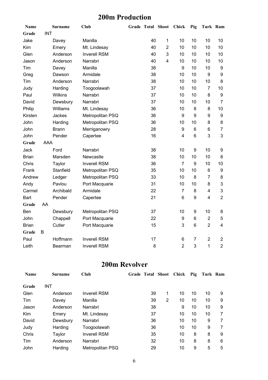#### **200m Production**

| <b>Name</b>  |            | <b>Surname</b> | <b>Club</b>         | <b>Grade Total Shoot</b> |                | Chick            | Pig            | Turk Ram       |                  |
|--------------|------------|----------------|---------------------|--------------------------|----------------|------------------|----------------|----------------|------------------|
| Grade        | <b>INT</b> |                |                     |                          |                |                  |                |                |                  |
| Jake         |            | Davey          | Manilla             | 40                       | $\mathbf{1}$   | 10               | 10             | 10             | 10               |
| Kim          |            | Emery          | Mt. Lindesay        | 40                       | $\overline{2}$ | 10               | 10             | 10             | 10               |
| Glen         |            | Anderson       | <b>Inverell RSM</b> | 40                       | 3              | 10               | 10             | 10             | 10               |
| Jason        |            | Anderson       | Narrabri            | 40                       | 4              | 10               | 10             | 10             | 10               |
| Tim          |            | Davey          | Manilla             | 38                       |                | $\boldsymbol{9}$ | 10             | 10             | $\boldsymbol{9}$ |
| Greg         |            | Dawson         | Armidale            | 38                       |                | 10               | 10             | 9              | $\boldsymbol{9}$ |
| Tim          |            | Anderson       | Narrabri            | 38                       |                | 10               | 10             | 10             | 8                |
| Judy         |            | Harding        | Toogoolawah         | 37                       |                | 10               | 10             | $\overline{7}$ | 10               |
| Paul         |            | Wilkins        | Narrabri            | 37                       |                | 10               | 10             | 8              | $\boldsymbol{9}$ |
| David        |            | Dewsbury       | Narrabri            | 37                       |                | 10               | 10             | 10             | $\overline{7}$   |
| Philip       |            | Williams       | Mt. Lindesay        | 36                       |                | 10               | 8              | 8              | 10               |
| Kirsten      |            | Jackes         | Metropolitan PSQ    | 36                       |                | 9                | 9              | 9              | $\boldsymbol{9}$ |
| John         |            | Harding        | Metropolitan PSQ    | 36                       |                | 10               | 10             | 8              | 8                |
| John         |            | <b>Brann</b>   | Merriganowry        | 28                       |                | 9                | 6              | 6              | $\overline{7}$   |
| John         |            | Pender         | Capertee            | 16                       |                | $\overline{4}$   | $6\phantom{1}$ | 3              | 3                |
| Grade        | AAA        |                |                     |                          |                |                  |                |                |                  |
| Jack         |            | Ford           | Narrabri            | 38                       |                | 10               | 9              | 10             | 9                |
| <b>Brian</b> |            | Marsden        | Newcastle           | 38                       |                | 10               | 10             | 10             | 8                |
| Chris        |            | Taylor         | <b>Inverell RSM</b> | 36                       |                | $\overline{7}$   | 9              | 10             | 10               |
| Frank        |            | Stanfield      | Metropolitan PSQ    | 35                       |                | 10               | 10             | 6              | $\boldsymbol{9}$ |
| Andrew       |            | Ledger         | Metropolitan PSQ    | 33                       |                | 10               | 8              | $\overline{7}$ | 8                |
| Andy         |            | Pavlou         | Port Macquarie      | 31                       |                | 10               | 10             | 8              | 3                |
| Carmel       |            | Archibald      | Armidale            | 22                       |                | $\overline{7}$   | 8              | 4              | 3                |
| Bart         |            | Pender         | Capertee            | 21                       |                | $6\phantom{1}6$  | 9              | 4              | $\overline{2}$   |
| Grade        | AA         |                |                     |                          |                |                  |                |                |                  |
| Ben          |            | Dewsbury       | Metropolitan PSQ    | 37                       |                | 10               | 9              | 10             | 8                |
| John         |            | Chappell       | Port Macquarie      | 22                       |                | $\boldsymbol{9}$ | 6              | $\overline{2}$ | 5                |
| <b>Brian</b> |            | Cutler         | Port Macquarie      | 15                       |                | 3                | 6              | $\overline{2}$ | $\overline{4}$   |
| Grade        | B          |                |                     |                          |                |                  |                |                |                  |
| Paul         |            | Hoffmann       | <b>Inverell RSM</b> | 17                       |                | 6                | $\overline{7}$ | $\overline{2}$ | $\mathbf{2}$     |
| Leith        |            | Bearman        | <b>Inverell RSM</b> | 8                        |                | $\overline{2}$   | 3              | $\mathbf{1}$   | $\overline{2}$   |

#### **200m Revolver**

| <b>Name</b> | <b>Surname</b> | Club                | Grade Total Shoot |   | Chick | Pig | Turk Ram |   |
|-------------|----------------|---------------------|-------------------|---|-------|-----|----------|---|
| Grade       | <b>INT</b>     |                     |                   |   |       |     |          |   |
| Glen        | Anderson       | <b>Inverell RSM</b> | 39                | 1 | 10    | 10  | 10       | 9 |
| Tim         | Davey          | Manilla             | 39                | 2 | 10    | 10  | 10       | 9 |
| Jason       | Anderson       | Narrabri            | 38                |   | 9     | 10  | 10       | 9 |
| Kim         | Emery          | Mt. Lindesay        | 37                |   | 10    | 10  | 10       | 7 |
| David       | Dewsbury       | Narrabri            | 36                |   | 10    | 10  | 9        | 7 |
| Judy        | Harding        | Toogoolawah         | 36                |   | 10    | 10  | 9        | 7 |
| Chris       | Taylor         | <b>Inverell RSM</b> | 35                |   | 10    | 8   | 8        | 9 |
| Tim         | Anderson       | Narrabri            | 32                |   | 10    | 8   | 8        | 6 |
| John        | Harding        | Metropolitan PSQ    | 29                |   | 10    | 9   | 5        | 5 |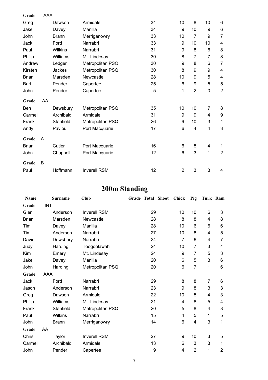| Grade        | <b>AAA</b> |                |                     |    |                |                           |                          |                         |
|--------------|------------|----------------|---------------------|----|----------------|---------------------------|--------------------------|-------------------------|
| Greg         |            | Dawson         | Armidale            | 34 | 10             | 8                         | 10                       | 6                       |
| Jake         |            | Davey          | Manilla             | 34 | 9              | 10                        | 9                        | 6                       |
| John         |            | <b>Brann</b>   | Merriganowry        | 33 | 10             | $\overline{7}$            | 9                        | $\overline{7}$          |
| Jack         |            | Ford           | Narrabri            | 33 | 9              | 10                        | 10                       | 4                       |
| Paul         |            | <b>Wilkins</b> | Narrabri            | 31 | 9              | 8                         | 6                        | 8                       |
| Philip       |            | Williams       | Mt. Lindesay        | 30 | 8              | $\overline{7}$            | 7                        | 8                       |
| Andrew       |            | Ledger         | Metropolitan PSQ    | 30 | 9              | 8                         | 6                        | $\overline{7}$          |
| Kirsten      |            | Jackes         | Metropolitan PSQ    | 30 | 8              | 9                         | 9                        | $\overline{\mathbf{4}}$ |
| <b>Brian</b> |            | Marsden        | Newcastle           | 28 | 10             | 9                         | 5                        | 4                       |
| <b>Bart</b>  |            | Pender         | Capertee            | 25 | 6              | 9                         | 5                        | 5                       |
| John         |            | Pender         | Capertee            | 5  | 1              | $\overline{2}$            | $\mathbf 0$              | $\overline{2}$          |
| Grade        | AA         |                |                     |    |                |                           |                          |                         |
| Ben          |            | Dewsbury       | Metropolitan PSQ    | 35 | 10             | 10                        | $\overline{7}$           | 8                       |
| Carmel       |            | Archibald      | Armidale            | 31 | 9              | 9                         | 4                        | $\boldsymbol{9}$        |
| Frank        |            | Stanfield      | Metropolitan PSQ    | 26 | 9              | 10                        | 3                        | $\overline{\mathbf{4}}$ |
| Andy         |            | Pavlou         | Port Macquarie      | 17 | $6\phantom{1}$ | $\overline{\mathbf{4}}$   | 4                        | $\mathbf{3}$            |
| Grade        | A          |                |                     |    |                |                           |                          |                         |
| <b>Brian</b> |            | Cutler         | Port Macquarie      | 16 | 6              | 5                         | $\overline{\mathcal{A}}$ | $\mathbf 1$             |
| John         |            | Chappell       | Port Macquarie      | 12 | 6              | $\ensuremath{\mathsf{3}}$ | 1                        | $\overline{2}$          |
| Grade        | B          |                |                     |    |                |                           |                          |                         |
| Paul         |            | Hoffmann       | <b>Inverell RSM</b> | 12 | $\overline{2}$ | 3                         | 3                        | 4                       |

# **200m Standing**

| <b>Name</b>  |            | <b>Surname</b> | Club                | <b>Grade Total Shoot</b> |    | <b>Chick</b>   | Pig            | Turk Ram |                |
|--------------|------------|----------------|---------------------|--------------------------|----|----------------|----------------|----------|----------------|
| Grade        | <b>INT</b> |                |                     |                          |    |                |                |          |                |
| Glen         |            | Anderson       | <b>Inverell RSM</b> |                          | 29 | 10             | 10             | 6        | 3              |
| <b>Brian</b> |            | Marsden        | Newcastle           |                          | 28 | 8              | 8              | 4        | 8              |
| Tim          |            | Davey          | Manilla             |                          | 28 | 10             | 6              | 6        | 6              |
| Tim          |            | Anderson       | Narrabri            |                          | 27 | 10             | 8              | 4        | 5              |
| David        |            | Dewsbury       | Narrabri            |                          | 24 | 7              | 6              | 4        | $\overline{7}$ |
| Judy         |            | Harding        | Toogoolawah         |                          | 24 | 10             | $\overline{7}$ | 3        | 4              |
| Kim          |            | Emery          | Mt. Lindesay        |                          | 24 | 9              | 7              | 5        | 3              |
| Jake         |            | Davey          | Manilla             |                          | 20 | 6              | 5              | 3        | 6              |
| John         |            | Harding        | Metropolitan PSQ    |                          | 20 | 6              | $\overline{7}$ | 1        | 6              |
| Grade        | AAA        |                |                     |                          |    |                |                |          |                |
| Jack         |            | Ford           | Narrabri            |                          | 29 | 8              | 8              | 7        | 6              |
| Jason        |            | Anderson       | Narrabri            |                          | 23 | 9              | 8              | 3        | 3              |
| Greg         |            | Dawson         | Armidale            |                          | 22 | 10             | 5              | 4        | 3              |
| Philip       |            | Williams       | Mt. Lindesay        |                          | 21 | 4              | 8              | 5        | 4              |
| Frank        |            | Stanfield      | Metropolitan PSQ    |                          | 20 | 5              | 8              | 4        | 3              |
| Paul         |            | <b>Wilkins</b> | Narrabri            |                          | 15 | $\overline{4}$ | 5              | 1        | 5              |
| John         |            | <b>Brann</b>   | Merriganowry        |                          | 14 | 6              | 4              | 3        | 1              |
| Grade        | AA         |                |                     |                          |    |                |                |          |                |
| Chris        |            | Taylor         | <b>Inverell RSM</b> |                          | 27 | 9              | 10             | 3        | 5              |
| Carmel       |            | Archibald      | Armidale            |                          | 13 | 6              | 3              | 3        | 1              |
| John         |            | Pender         | Capertee            |                          | 9  | 4              | $\overline{2}$ | 1        | $\overline{c}$ |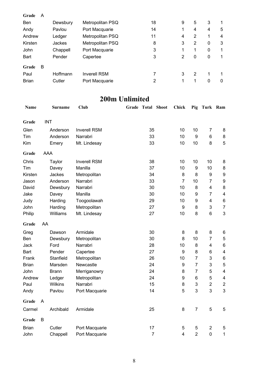| Grade        | A |          |                     |    |   |   |   |   |
|--------------|---|----------|---------------------|----|---|---|---|---|
| <b>Ben</b>   |   | Dewsbury | Metropolitan PSQ    | 18 | 9 | 5 | 3 |   |
| Andy         |   | Pavlou   | Port Macquarie      | 14 | 1 | 4 | 4 | 5 |
| Andrew       |   | Ledger   | Metropolitan PSQ    | 11 | 4 | 2 | 1 | 4 |
| Kirsten      |   | Jackes   | Metropolitan PSQ    | 8  | 3 | 2 | 0 | 3 |
| John         |   | Chappell | Port Macquarie      | 3  | 1 | 1 | 0 | 1 |
| <b>Bart</b>  |   | Pender   | Capertee            | 3  | 2 | 0 | 0 | 1 |
| Grade        | B |          |                     |    |   |   |   |   |
| Paul         |   | Hoffmann | <b>Inverell RSM</b> |    | 3 | 2 | 1 |   |
| <b>Brian</b> |   | Cutler   | Port Macquarie      | 2  |   | 1 | 0 | 0 |

## **200m Unlimited**

| Name         |            | <b>Surname</b> | <b>Club</b>         | <b>Grade Total Shoot</b> | Chick                   | Pig            | Turk Ram                |                         |
|--------------|------------|----------------|---------------------|--------------------------|-------------------------|----------------|-------------------------|-------------------------|
| Grade        | <b>INT</b> |                |                     |                          |                         |                |                         |                         |
| Glen         |            | Anderson       | <b>Inverell RSM</b> | 35                       | 10                      | 10             | 7                       | 8                       |
| Tim          |            | Anderson       | Narrabri            | 33                       | 10                      | 9              | 6                       | 8                       |
| Kim          |            | Emery          | Mt. Lindesay        | 33                       | 10                      | 10             | 8                       | 5                       |
|              |            |                |                     |                          |                         |                |                         |                         |
| Grade        | AAA        |                |                     |                          |                         |                |                         |                         |
| Chris        |            | Taylor         | <b>Inverell RSM</b> | 38                       | 10                      | 10             | 10                      | 8                       |
| Tim          |            | Davey          | Manilla             | 37                       | 10                      | 9              | 10                      | 8                       |
| Kirsten      |            | Jackes         | Metropolitan        | 34                       | 8                       | 8              | 9                       | $\boldsymbol{9}$        |
| Jason        |            | Anderson       | Narrabri            | 33                       | $\overline{7}$          | 10             | $\overline{7}$          | $\boldsymbol{9}$        |
| David        |            | Dewsbury       | Narrabri            | 30                       | 10                      | 8              | $\overline{\mathbf{4}}$ | 8                       |
| Jake         |            | Davey          | Manilla             | 30                       | 10                      | 9              | $\overline{7}$          | $\overline{\mathbf{4}}$ |
| Judy         |            | Harding        | Toogoolawah         | 29                       | 10                      | 9              | 4                       | 6                       |
| John         |            | Harding        | Metropolitan        | 27                       | 9                       | 8              | 3                       | $\overline{7}$          |
| Philip       |            | Williams       | Mt. Lindesay        | 27                       | 10                      | 8              | 6                       | 3                       |
| Grade        | AA         |                |                     |                          |                         |                |                         |                         |
| Greg         |            | Dawson         | Armidale            | 30                       | 8                       | 8              | 8                       | 6                       |
| Ben          |            | Dewsbury       | Metropolitan        | 30                       | 8                       | 10             | $\overline{7}$          | 5                       |
| Jack         |            | Ford           | Narrabri            | 28                       | 10                      | 8              | $\overline{\mathbf{4}}$ | 6                       |
| Bart         |            | Pender         | Capertee            | 27                       | $\boldsymbol{9}$        | 8              | 6                       | $\overline{\mathbf{4}}$ |
| Frank        |            | Stanfield      | Metropolitan        | 26                       | 10                      | $\overline{7}$ | 3                       | 6                       |
| <b>Brian</b> |            | Marsden        | Newcastle           | 24                       | 9                       | $\overline{7}$ | 3                       | 5                       |
| John         |            | <b>Brann</b>   | Merriganowry        | 24                       | 8                       | $\overline{7}$ | 5                       | $\overline{\mathbf{4}}$ |
| Andrew       |            | Ledger         | Metropolitan        | 24                       | 9                       | 6              | 5                       | $\overline{\mathbf{4}}$ |
| Paul         |            | Wilkins        | Narrabri            | 15                       | 8                       | 3              | $\overline{2}$          | $\overline{c}$          |
| Andy         |            | Pavlou         | Port Macquarie      | 14                       | 5                       | 3              | 3                       | 3                       |
| Grade        | A          |                |                     |                          |                         |                |                         |                         |
| Carmel       |            | Archibald      | Armidale            | 25                       | 8                       | $\overline{7}$ | 5                       | 5                       |
| Grade        | B          |                |                     |                          |                         |                |                         |                         |
| <b>Brian</b> |            | Cutler         | Port Macquarie      | 17                       | 5                       | 5              | $\overline{2}$          | 5                       |
| John         |            | Chappell       | Port Macquarie      | $\overline{7}$           | $\overline{\mathbf{4}}$ | $\overline{2}$ | $\overline{0}$          | 1                       |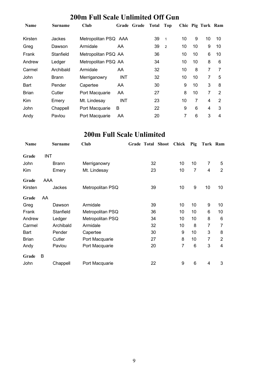## **200m Full Scale Unlimited Off Gun**

| Name         | Surname   | Club                 | Grade Grade | Total | Top          |    |    | Chic Pig Turk Ram |    |
|--------------|-----------|----------------------|-------------|-------|--------------|----|----|-------------------|----|
| Kirsten      | Jackes    | Metropolitan PSQ AAA |             | 39    | $\mathbf{1}$ | 10 | 9  | 10                | 10 |
| Greg         | Dawson    | Armidale             | AA          | 39    | 2            | 10 | 10 | 9                 | 10 |
| Frank        | Stanfield | Metropolitan PSQ AA  |             | 36    |              | 10 | 10 | 6                 | 10 |
| Andrew       | Ledger    | Metropolitan PSQ AA  |             | 34    |              | 10 | 10 | 8                 | 6  |
| Carmel       | Archibald | Armidale             | AA          | 32    |              | 10 | 8  | 7                 | 7  |
| John         | Brann     | Merriganowry         | <b>INT</b>  | 32    |              | 10 | 10 | 7                 | 5  |
| Bart         | Pender    | Capertee             | AA          | 30    |              | 9  | 10 | 3                 | 8  |
| <b>Brian</b> | Cutler    | Port Macquarie       | AA          | 27    |              | 8  | 10 | 7                 | 2  |
| <b>Kim</b>   | Emery     | Mt. Lindesay         | <b>INT</b>  | 23    |              | 10 | 7  | 4                 | 2  |
| John         | Chappell  | Port Macquarie       | B           | 22    |              | 9  | 6  | 4                 | 3  |
| Andy         | Pavlou    | Port Macquarie       | AA          | 20    |              | 7  | 6  | 3                 | 4  |

## **200m Full Scale Unlimited**

| Name         |            | <b>Surname</b> | Club             | Grade Total Shoot |    | Chick | Pig | Turk Ram       |                |
|--------------|------------|----------------|------------------|-------------------|----|-------|-----|----------------|----------------|
| Grade        | <b>INT</b> |                |                  |                   |    |       |     |                |                |
| John         |            | <b>Brann</b>   | Merriganowry     |                   | 32 | 10    | 10  | 7              | 5              |
| Kim          |            | Emery          | Mt. Lindesay     |                   | 23 | 10    | 7   | $\overline{4}$ | $\overline{2}$ |
| Grade        | AAA        |                |                  |                   |    |       |     |                |                |
| Kirsten      |            | Jackes         | Metropolitan PSQ |                   | 39 | 10    | 9   | 10             | 10             |
| Grade        | AA         |                |                  |                   |    |       |     |                |                |
| Greg         |            | Dawson         | Armidale         |                   | 39 | 10    | 10  | 9              | 10             |
| Frank        |            | Stanfield      | Metropolitan PSQ |                   | 36 | 10    | 10  | 6              | 10             |
| Andrew       |            | Ledger         | Metropolitan PSQ |                   | 34 | 10    | 10  | 8              | 6              |
| Carmel       |            | Archibald      | Armidale         |                   | 32 | 10    | 8   | 7              | 7              |
| Bart         |            | Pender         | Capertee         |                   | 30 | 9     | 10  | 3              | 8              |
| <b>Brian</b> |            | Cutler         | Port Macquarie   |                   | 27 | 8     | 10  | 7              | $\overline{2}$ |
| Andy         |            | Pavlou         | Port Macquarie   |                   | 20 | 7     | 6   | 3              | $\overline{4}$ |
| Grade        | B          |                |                  |                   |    |       |     |                |                |
| John         |            | Chappell       | Port Macquarie   |                   | 22 | 9     | 6   | 4              | 3              |